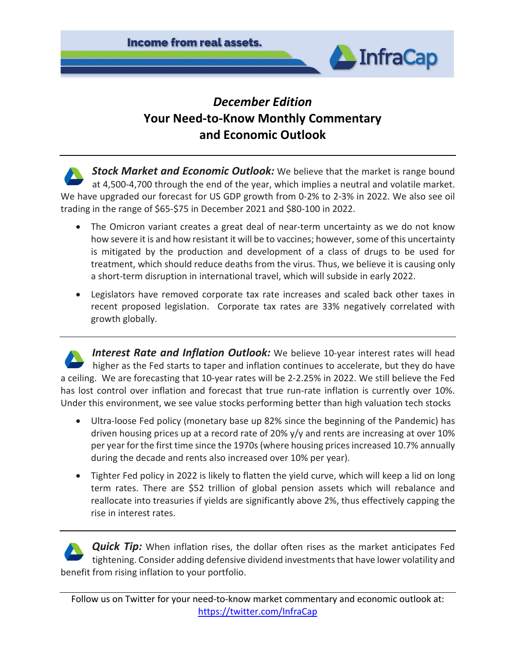

# *December Edition* **Your Need-to-Know Monthly Commentary and Economic Outlook**

**Stock Market and Economic Outlook:** We believe that the market is range bound at 4,500-4,700 through the end of the year, which implies a neutral and volatile market. We have upgraded our forecast for US GDP growth from 0-2% to 2-3% in 2022. We also see oil trading in the range of \$65-\$75 in December 2021 and \$80-100 in 2022.

- The Omicron variant creates a great deal of near-term uncertainty as we do not know how severe it is and how resistant it will be to vaccines; however, some of this uncertainty is mitigated by the production and development of a class of drugs to be used for treatment, which should reduce deaths from the virus. Thus, we believe it is causing only a short-term disruption in international travel, which will subside in early 2022.
- Legislators have removed corporate tax rate increases and scaled back other taxes in recent proposed legislation. Corporate tax rates are 33% negatively correlated with growth globally.

**Interest Rate and Inflation Outlook:** We believe 10-year interest rates will head higher as the Fed starts to taper and inflation continues to accelerate, but they do have a ceiling. We are forecasting that 10-year rates will be 2-2.25% in 2022. We still believe the Fed has lost control over inflation and forecast that true run-rate inflation is currently over 10%. Under this environment, we see value stocks performing better than high valuation tech stocks

- Ultra-loose Fed policy (monetary base up 82% since the beginning of the Pandemic) has driven housing prices up at a record rate of 20% y/y and rents are increasing at over 10% per year for the first time since the 1970s (where housing prices increased 10.7% annually during the decade and rents also increased over 10% per year).
- Tighter Fed policy in 2022 is likely to flatten the yield curve, which will keep a lid on long term rates. There are \$52 trillion of global pension assets which will rebalance and reallocate into treasuries if yields are significantly above 2%, thus effectively capping the rise in interest rates.

**Quick Tip:** When inflation rises, the dollar often rises as the market anticipates Fed tightening. Consider adding defensive dividend investments that have lower volatility and benefit from rising inflation to your portfolio.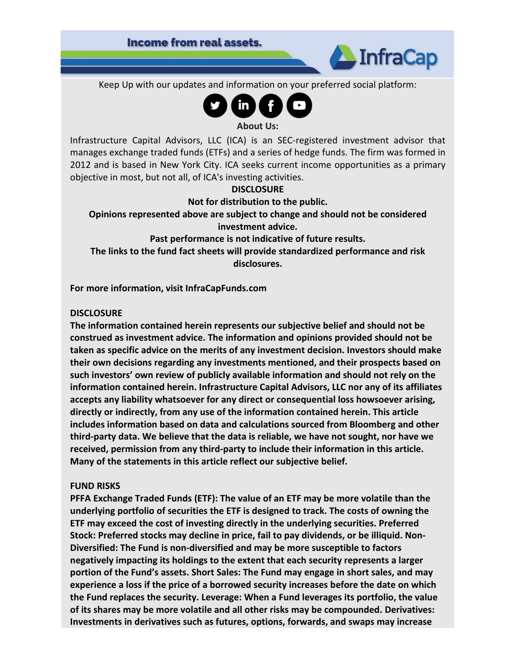

Keep Up with our updates and information on your preferred social platform:



#### **About Us:**

Infrastructure Capital Advisors, LLC (ICA) is an SEC-registered investment advisor that manages exchange traded funds (ETFs) and a series of hedge funds. The firm was formed in 2012 and is based in New York City. ICA seeks current income opportunities as a primary objective in most, but not all, of ICA's investing activities.

## **DISCLOSURE**

### **Not for distribution to the public.**

**Opinions represented above are subject to change and should not be considered investment advice.**

**Past performance is not indicative of future results.**

**The links to the fund fact sheets will provide standardized performance and risk disclosures.**

**For more information, visit InfraCapFunds.com**

#### **DISCLOSURE**

**The information contained herein represents our subjective belief and should not be construed as investment advice. The information and opinions provided should not be taken as specific advice on the merits of any investment decision. Investors should make their own decisions regarding any investments mentioned, and their prospects based on such investors' own review of publicly available information and should not rely on the information contained herein. Infrastructure Capital Advisors, LLC nor any of its affiliates accepts any liability whatsoever for any direct or consequential loss howsoever arising, directly or indirectly, from any use of the information contained herein. This article includes information based on data and calculations sourced from Bloomberg and other third-party data. We believe that the data is reliable, we have not sought, nor have we received, permission from any third-party to include their information in this article. Many of the statements in this article reflect our subjective belief.**

### **FUND RISKS**

**PFFA Exchange Traded Funds (ETF): The value of an ETF may be more volatile than the underlying portfolio of securities the ETF is designed to track. The costs of owning the ETF may exceed the cost of investing directly in the underlying securities. Preferred Stock: Preferred stocks may decline in price, fail to pay dividends, or be illiquid. Non-Diversified: The Fund is non-diversified and may be more susceptible to factors negatively impacting its holdings to the extent that each security represents a larger portion of the Fund's assets. Short Sales: The Fund may engage in short sales, and may experience a loss if the price of a borrowed security increases before the date on which the Fund replaces the security. Leverage: When a Fund leverages its portfolio, the value of its shares may be more volatile and all other risks may be compounded. Derivatives: Investments in derivatives such as futures, options, forwards, and swaps may increase**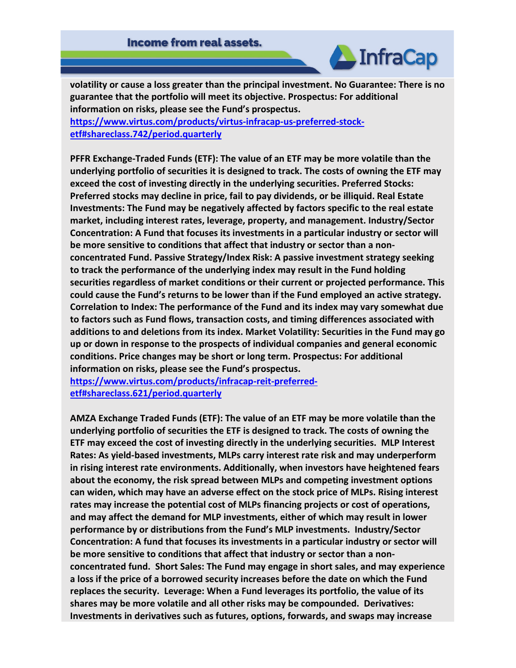

**volatility or cause a loss greater than the principal investment. No Guarantee: There is no guarantee that the portfolio will meet its objective. Prospectus: For additional information on risks, please see the Fund's prospectus. [https://www.virtus.com/products/virtus-infracap-us-preferred-stock-](https://www.virtus.com/products/virtus-infracap-us-preferred-stock-etf#shareclass.742/period.quarterly)**

**[etf#shareclass.742/period.quarterly](https://www.virtus.com/products/virtus-infracap-us-preferred-stock-etf#shareclass.742/period.quarterly)**

**PFFR Exchange-Traded Funds (ETF): The value of an ETF may be more volatile than the underlying portfolio of securities it is designed to track. The costs of owning the ETF may exceed the cost of investing directly in the underlying securities. Preferred Stocks: Preferred stocks may decline in price, fail to pay dividends, or be illiquid. Real Estate Investments: The Fund may be negatively affected by factors specific to the real estate market, including interest rates, leverage, property, and management. Industry/Sector Concentration: A Fund that focuses its investments in a particular industry or sector will be more sensitive to conditions that affect that industry or sector than a nonconcentrated Fund. Passive Strategy/Index Risk: A passive investment strategy seeking to track the performance of the underlying index may result in the Fund holding securities regardless of market conditions or their current or projected performance. This could cause the Fund's returns to be lower than if the Fund employed an active strategy. Correlation to Index: The performance of the Fund and its index may vary somewhat due to factors such as Fund flows, transaction costs, and timing differences associated with additions to and deletions from its index. Market Volatility: Securities in the Fund may go up or down in response to the prospects of individual companies and general economic conditions. Price changes may be short or long term. Prospectus: For additional information on risks, please see the Fund's prospectus.**

**[https://www.virtus.com/products/infracap-reit-preferred](https://www.virtus.com/products/infracap-reit-preferred-etf#shareclass.621/period.quarterly)[etf#shareclass.621/period.quarterly](https://www.virtus.com/products/infracap-reit-preferred-etf#shareclass.621/period.quarterly)**

**AMZA Exchange Traded Funds (ETF): The value of an ETF may be more volatile than the underlying portfolio of securities the ETF is designed to track. The costs of owning the ETF may exceed the cost of investing directly in the underlying securities. MLP Interest Rates: As yield-based investments, MLPs carry interest rate risk and may underperform in rising interest rate environments. Additionally, when investors have heightened fears about the economy, the risk spread between MLPs and competing investment options can widen, which may have an adverse effect on the stock price of MLPs. Rising interest rates may increase the potential cost of MLPs financing projects or cost of operations, and may affect the demand for MLP investments, either of which may result in lower performance by or distributions from the Fund's MLP investments. Industry/Sector Concentration: A fund that focuses its investments in a particular industry or sector will be more sensitive to conditions that affect that industry or sector than a nonconcentrated fund. Short Sales: The Fund may engage in short sales, and may experience a loss if the price of a borrowed security increases before the date on which the Fund replaces the security. Leverage: When a Fund leverages its portfolio, the value of its shares may be more volatile and all other risks may be compounded. Derivatives: Investments in derivatives such as futures, options, forwards, and swaps may increase**